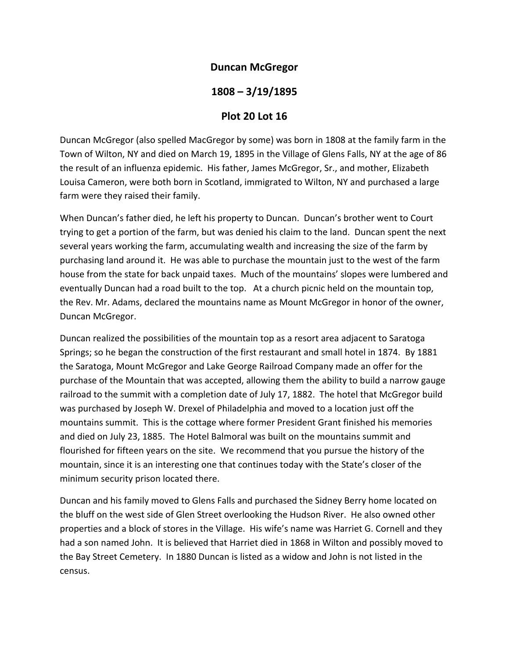## **Duncan McGregor**

## **1808 – 3/19/1895**

## **Plot 20 Lot 16**

Duncan McGregor (also spelled MacGregor by some) was born in 1808 at the family farm in the Town of Wilton, NY and died on March 19, 1895 in the Village of Glens Falls, NY at the age of 86 the result of an influenza epidemic. His father, James McGregor, Sr., and mother, Elizabeth Louisa Cameron, were both born in Scotland, immigrated to Wilton, NY and purchased a large farm were they raised their family.

When Duncan's father died, he left his property to Duncan. Duncan's brother went to Court trying to get a portion of the farm, but was denied his claim to the land. Duncan spent the next several years working the farm, accumulating wealth and increasing the size of the farm by purchasing land around it. He was able to purchase the mountain just to the west of the farm house from the state for back unpaid taxes. Much of the mountains' slopes were lumbered and eventually Duncan had a road built to the top. At a church picnic held on the mountain top, the Rev. Mr. Adams, declared the mountains name as Mount McGregor in honor of the owner, Duncan McGregor.

Duncan realized the possibilities of the mountain top as a resort area adjacent to Saratoga Springs; so he began the construction of the first restaurant and small hotel in 1874. By 1881 the Saratoga, Mount McGregor and Lake George Railroad Company made an offer for the purchase of the Mountain that was accepted, allowing them the ability to build a narrow gauge railroad to the summit with a completion date of July 17, 1882. The hotel that McGregor build was purchased by Joseph W. Drexel of Philadelphia and moved to a location just off the mountains summit. This is the cottage where former President Grant finished his memories and died on July 23, 1885. The Hotel Balmoral was built on the mountains summit and flourished for fifteen years on the site. We recommend that you pursue the history of the mountain, since it is an interesting one that continues today with the State's closer of the minimum security prison located there.

Duncan and his family moved to Glens Falls and purchased the Sidney Berry home located on the bluff on the west side of Glen Street overlooking the Hudson River. He also owned other properties and a block of stores in the Village. His wife's name was Harriet G. Cornell and they had a son named John. It is believed that Harriet died in 1868 in Wilton and possibly moved to the Bay Street Cemetery. In 1880 Duncan is listed as a widow and John is not listed in the census.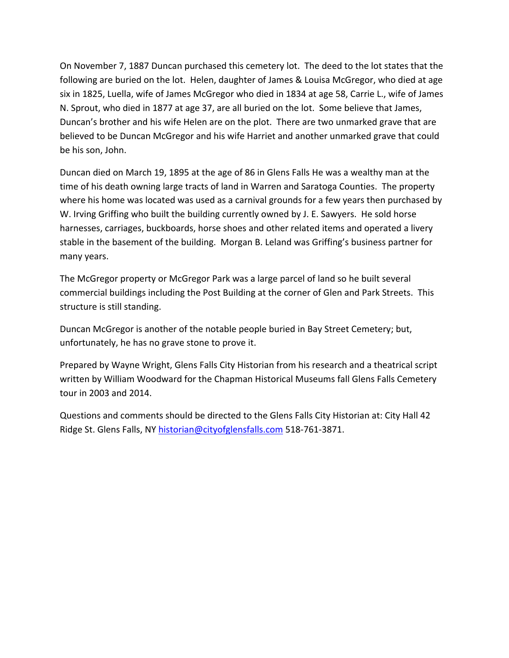On November 7, 1887 Duncan purchased this cemetery lot. The deed to the lot states that the following are buried on the lot. Helen, daughter of James & Louisa McGregor, who died at age six in 1825, Luella, wife of James McGregor who died in 1834 at age 58, Carrie L., wife of James N. Sprout, who died in 1877 at age 37, are all buried on the lot. Some believe that James, Duncan's brother and his wife Helen are on the plot. There are two unmarked grave that are believed to be Duncan McGregor and his wife Harriet and another unmarked grave that could be his son, John.

Duncan died on March 19, 1895 at the age of 86 in Glens Falls He was a wealthy man at the time of his death owning large tracts of land in Warren and Saratoga Counties. The property where his home was located was used as a carnival grounds for a few years then purchased by W. Irving Griffing who built the building currently owned by J. E. Sawyers. He sold horse harnesses, carriages, buckboards, horse shoes and other related items and operated a livery stable in the basement of the building. Morgan B. Leland was Griffing's business partner for many years.

The McGregor property or McGregor Park was a large parcel of land so he built several commercial buildings including the Post Building at the corner of Glen and Park Streets. This structure is still standing.

Duncan McGregor is another of the notable people buried in Bay Street Cemetery; but, unfortunately, he has no grave stone to prove it.

Prepared by Wayne Wright, Glens Falls City Historian from his research and a theatrical script written by William Woodward for the Chapman Historical Museums fall Glens Falls Cemetery tour in 2003 and 2014.

Questions and comments should be directed to the Glens Falls City Historian at: City Hall 42 Ridge St. Glens Falls, NY historian@cityofglensfalls.com 518‐761‐3871.